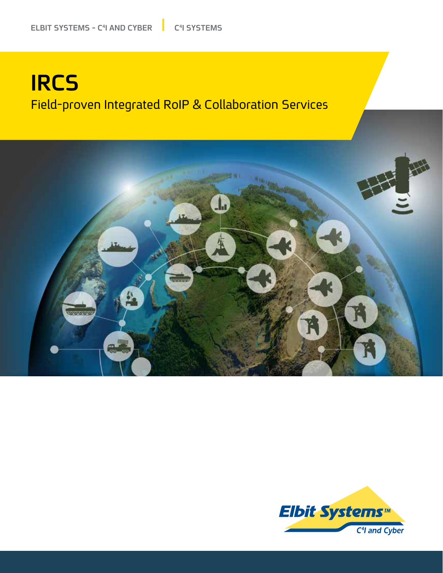# **IRCS** Field-proven Integrated RoIP & Collaboration Services



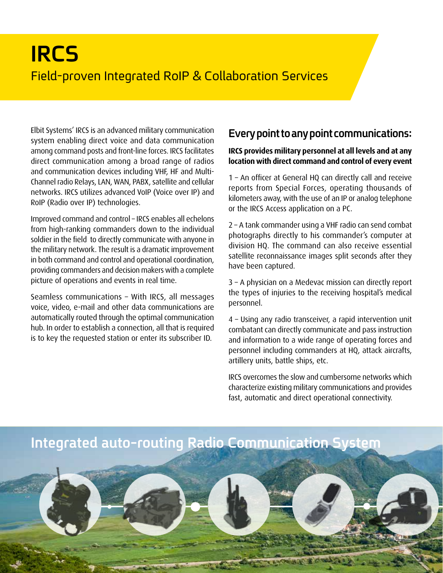# **IRCS** Field-proven Integrated RoIP & Collaboration Services

Elbit Systems' IRCS is an advanced military communication system enabling direct voice and data communication among command posts and front-line forces. IRCS facilitates direct communication among a broad range of radios Channel radio Relays, LAN, WAN, PABX, satellite and cellular and communication devices including VHF, HF and Multinetworks. IRCS utilizes advanced VoIP (Voice over IP) and RoIP (Radio over IP) technologies.

Improved command and control - IRCS enables all echelons from high-ranking commanders down to the individual soldier in the field to directly communicate with anyone in the military network. The result is a dramatic improvement in both command and control and operational coordination, providing commanders and decision makers with a complete picture of operations and events in real time.

Seamless communications - With IRCS, all messages voice, video, e-mail and other data communications are automatically routed through the optimal communication hub. In order to establish a connection, all that is required is to key the requested station or enter its subscriber ID.

### **Every point to any point communications:**

#### **IRCS** provides military personnel at all levels and at any location with direct command and control of every event

 $1$  – An officer at General HQ can directly call and receive reports from Special Forces, operating thousands of kilometers away, with the use of an IP or analog telephone or the IRCS Access application on a PC.

 $2 - A$  tank commander using a VHF radio can send combat photographs directly to his commander's computer at division HQ. The command can also receive essential satellite reconnaissance images split seconds after they have been captured.

 $3$  – A physician on a Medevac mission can directly report the types of injuries to the receiving hospital's medical .personnel

4 - Using any radio transceiver, a rapid intervention unit combatant can directly communicate and pass instruction and information to a wide range of operating forces and personnel including commanders at HQ, attack aircrafts, artillery units, battle ships, etc.

IRCS overcomes the slow and cumbersome networks which characterize existing military communications and provides fast, automatic and direct operational connectivity.

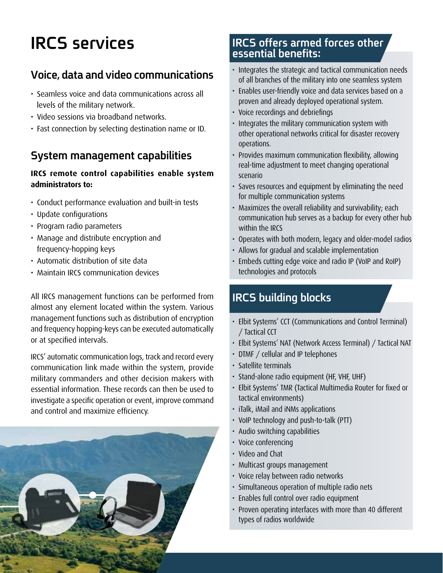# **services IRCS**

### **Voice, data and video communications**

- Seamless voice and data communications across all levels of the military network.
- Video sessions via broadband networks.
- Fast connection by selecting destination name or ID.

### **System management capabilities**

#### **IRCS** remote control capabilities enable system administrators to:

- Conduct performance evaluation and built-in tests
- Update configurations
- Program radio parameters
- Manage and distribute encryption and frequency-hopping keys
- Automatic distribution of site data
- Maintain IRCS communication devices

All IRCS management functions can be performed from almost any element located within the system. Various management functions such as distribution of encryption and frequency hopping-keys can be executed automatically or at specified intervals.

IRCS' automatic communication logs, track and record every communication link made within the system, provide military commanders and other decision makers with essential information. These records can then be used to investigate a specific operation or event, improve command and control and maximize efficiency.

# **IRCS** offers armed forces other<br>essential benefits:

- Integrates the strategic and tactical communication needs of all branches of the military into one seamless system
- Enables user-friendly voice and data services based on a proven and already deployed operational system.
- Voice recordings and debriefings
- Integrates the military communication system with other operational networks critical for disaster recovery .operations
- Provides maximum communication flexibility, allowing real-time adjustment to meet changing operational scenario
- Saves resources and equipment by eliminating the need for multiple communication systems
- Maximizes the overall reliability and survivability; each communication hub serves as a backup for every other hub within the IRCS
- Operates with both modern, legacy and older-model radios
- Allows for gradual and scalable implementation
- Embeds cutting edge voice and radio IP (VoIP and RoIP) technologies and protocols

### **IRCS building blocks**

- Elbit Systems' CCT (Communications and Control Terminal) / Tactical CCT
- Elbit Systems' NAT (Network Access Terminal) / Tactical NAT
- DTMF / cellular and IP telephones
- $\cdot$  Satellite terminals
- Stand-alone radio equipment (HF, VHF, UHF)
- Elbit Systems' TMR (Tactical Multimedia Router for fixed or tactical environments)
- iTalk, iMail and iNMs applications
- VoIP technology and push-to-talk (PTT)
- Audio switching capabilities
- Voice conferencing
- Video and Chat
- Multicast groups management
- Voice relay between radio networks
- Simultaneous operation of multiple radio nets
- · Enables full control over radio equipment
- Proven operating interfaces with more than 40 different types of radios worldwide